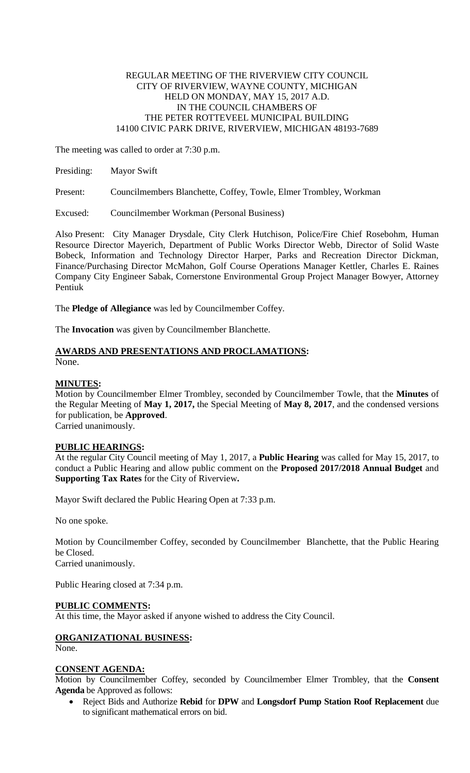## REGULAR MEETING OF THE RIVERVIEW CITY COUNCIL CITY OF RIVERVIEW, WAYNE COUNTY, MICHIGAN HELD ON MONDAY, MAY 15, 2017 A.D. IN THE COUNCIL CHAMBERS OF THE PETER ROTTEVEEL MUNICIPAL BUILDING 14100 CIVIC PARK DRIVE, RIVERVIEW, MICHIGAN 48193-7689

The meeting was called to order at 7:30 p.m.

| Presiding: | <b>Mayor Swift</b>                                                |
|------------|-------------------------------------------------------------------|
| Present:   | Councilmembers Blanchette, Coffey, Towle, Elmer Trombley, Workman |

Excused: Councilmember Workman (Personal Business)

Also Present: City Manager Drysdale, City Clerk Hutchison, Police/Fire Chief Rosebohm, Human Resource Director Mayerich, Department of Public Works Director Webb, Director of Solid Waste Bobeck, Information and Technology Director Harper, Parks and Recreation Director Dickman, Finance/Purchasing Director McMahon, Golf Course Operations Manager Kettler, Charles E. Raines Company City Engineer Sabak, Cornerstone Environmental Group Project Manager Bowyer, Attorney Pentiuk

The **Pledge of Allegiance** was led by Councilmember Coffey.

The **Invocation** was given by Councilmember Blanchette.

## **AWARDS AND PRESENTATIONS AND PROCLAMATIONS:** None.

## **MINUTES:**

Motion by Councilmember Elmer Trombley, seconded by Councilmember Towle, that the **Minutes** of the Regular Meeting of **May 1, 2017,** the Special Meeting of **May 8, 2017**, and the condensed versions for publication, be **Approved**. Carried unanimously.

## **PUBLIC HEARINGS:**

At the regular City Council meeting of May 1, 2017, a **Public Hearing** was called for May 15, 2017, to conduct a Public Hearing and allow public comment on the **Proposed 2017/2018 Annual Budget** and **Supporting Tax Rates** for the City of Riverview**.**

Mayor Swift declared the Public Hearing Open at 7:33 p.m.

No one spoke.

Motion by Councilmember Coffey, seconded by Councilmember Blanchette, that the Public Hearing be Closed. Carried unanimously.

Public Hearing closed at 7:34 p.m.

## **PUBLIC COMMENTS:**

At this time, the Mayor asked if anyone wished to address the City Council.

# **ORGANIZATIONAL BUSINESS:**

None.

## **CONSENT AGENDA:**

Motion by Councilmember Coffey, seconded by Councilmember Elmer Trombley, that the **Consent Agenda** be Approved as follows:

 Reject Bids and Authorize **Rebid** for **DPW** and **Longsdorf Pump Station Roof Replacement** due to significant mathematical errors on bid.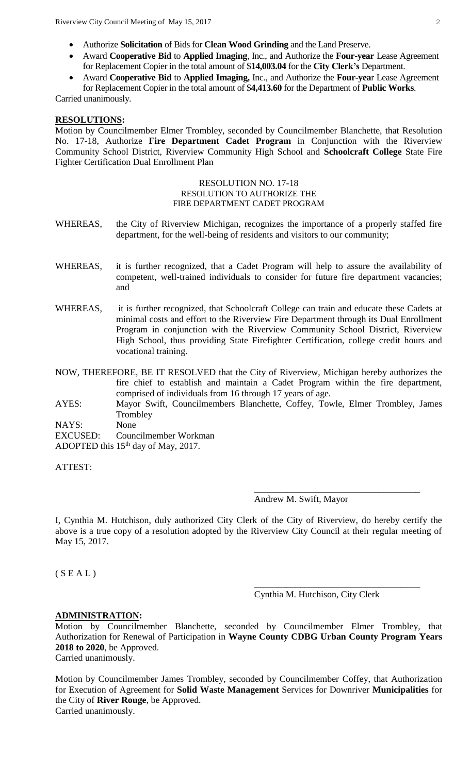Riverview City Council Meeting of May 15, 2017 2

- Authorize **Solicitation** of Bids for **Clean Wood Grinding** and the Land Preserve.
- Award **Cooperative Bid** to **Applied Imaging**, Inc., and Authorize the **Four-year** Lease Agreement for Replacement Copier in the total amount of \$**14,003.04** for the **City Clerk's** Department.
- Award **Cooperative Bid** to **Applied Imaging,** Inc., and Authorize the **Four-yea**r Lease Agreement for Replacement Copier in the total amount of \$**4,413.60** for the Department of **Public Works**.

Carried unanimously.

### **RESOLUTIONS:**

Motion by Councilmember Elmer Trombley, seconded by Councilmember Blanchette, that Resolution No. 17-18, Authorize **Fire Department Cadet Program** in Conjunction with the Riverview Community School District, Riverview Community High School and **Schoolcraft College** State Fire Fighter Certification Dual Enrollment Plan

#### RESOLUTION NO. 17-18 RESOLUTION TO AUTHORIZE THE FIRE DEPARTMENT CADET PROGRAM

- WHEREAS, the City of Riverview Michigan, recognizes the importance of a properly staffed fire department, for the well-being of residents and visitors to our community;
- WHEREAS, it is further recognized, that a Cadet Program will help to assure the availability of competent, well-trained individuals to consider for future fire department vacancies; and
- WHEREAS, it is further recognized, that Schoolcraft College can train and educate these Cadets at minimal costs and effort to the Riverview Fire Department through its Dual Enrollment Program in conjunction with the Riverview Community School District, Riverview High School, thus providing State Firefighter Certification, college credit hours and vocational training.
- NOW, THEREFORE, BE IT RESOLVED that the City of Riverview, Michigan hereby authorizes the fire chief to establish and maintain a Cadet Program within the fire department, comprised of individuals from 16 through 17 years of age.
- AYES: Mayor Swift, Councilmembers Blanchette, Coffey, Towle, Elmer Trombley, James **Trombley**
- NAYS: None
- EXCUSED: Councilmember Workman
- ADOPTED this  $15<sup>th</sup>$  day of May, 2017.

ATTEST:

Andrew M. Swift, Mayor

I, Cynthia M. Hutchison, duly authorized City Clerk of the City of Riverview, do hereby certify the above is a true copy of a resolution adopted by the Riverview City Council at their regular meeting of May 15, 2017.

 $(S E A L)$ 

Cynthia M. Hutchison, City Clerk

\_\_\_\_\_\_\_\_\_\_\_\_\_\_\_\_\_\_\_\_\_\_\_\_\_\_\_\_\_\_\_\_\_\_\_\_

\_\_\_\_\_\_\_\_\_\_\_\_\_\_\_\_\_\_\_\_\_\_\_\_\_\_\_\_\_\_\_\_\_\_\_\_

#### **ADMINISTRATION:**

Motion by Councilmember Blanchette, seconded by Councilmember Elmer Trombley, that Authorization for Renewal of Participation in **Wayne County CDBG Urban County Program Years 2018 to 2020**, be Approved. Carried unanimously.

Motion by Councilmember James Trombley, seconded by Councilmember Coffey, that Authorization for Execution of Agreement for **Solid Waste Management** Services for Downriver **Municipalities** for the City of **River Rouge**, be Approved. Carried unanimously.